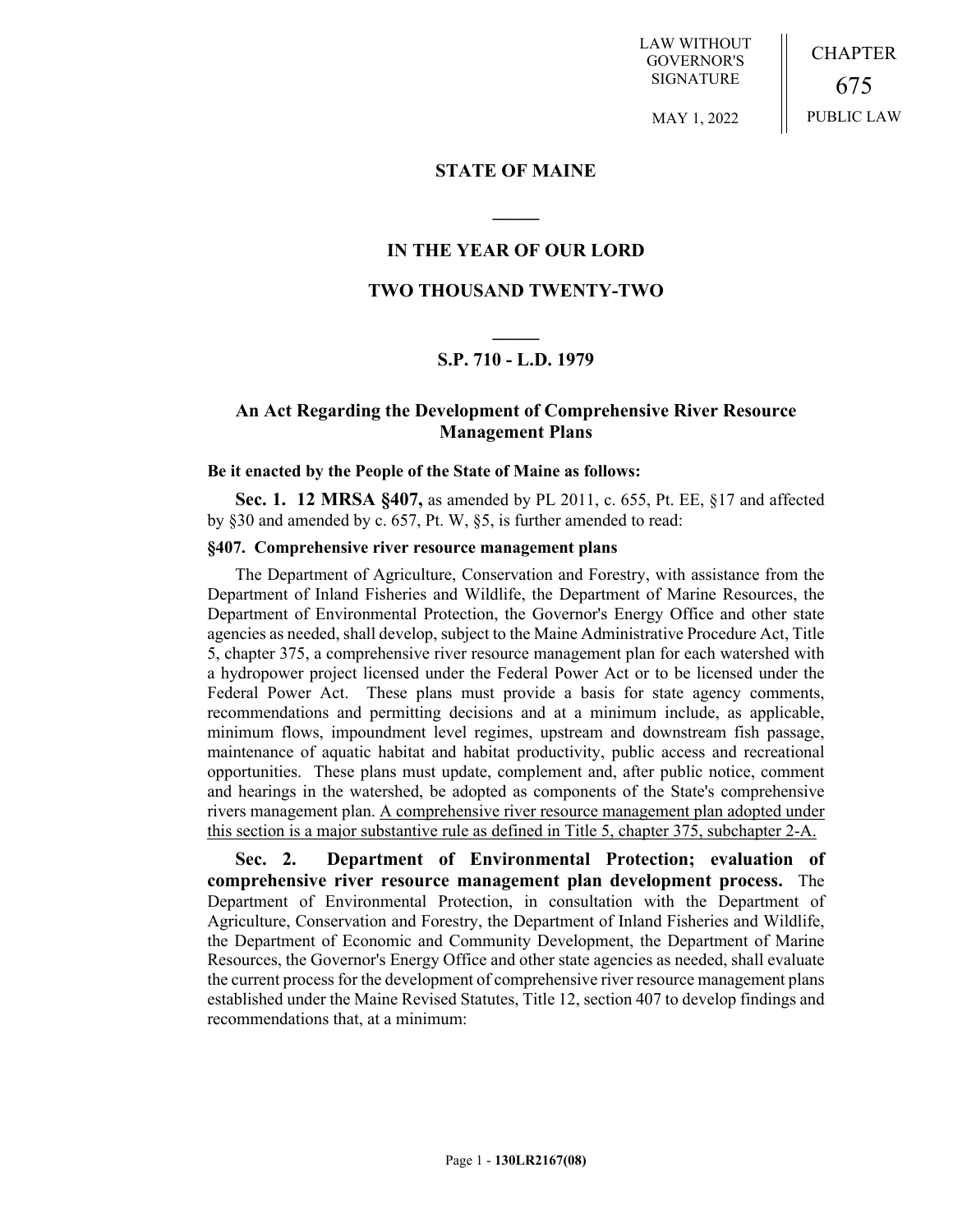LAW WITHOUT GOVERNOR'S SIGNATURE

MAY 1, 2022

CHAPTER 675 PUBLIC LAW

**STATE OF MAINE**

## **IN THE YEAR OF OUR LORD**

**\_\_\_\_\_**

#### **TWO THOUSAND TWENTY-TWO**

# **\_\_\_\_\_ S.P. 710 - L.D. 1979**

## **An Act Regarding the Development of Comprehensive River Resource Management Plans**

#### **Be it enacted by the People of the State of Maine as follows:**

**Sec. 1. 12 MRSA §407,** as amended by PL 2011, c. 655, Pt. EE, §17 and affected by §30 and amended by c. 657, Pt. W, §5, is further amended to read:

#### **§407. Comprehensive river resource management plans**

The Department of Agriculture, Conservation and Forestry, with assistance from the Department of Inland Fisheries and Wildlife, the Department of Marine Resources, the Department of Environmental Protection, the Governor's Energy Office and other state agencies as needed, shall develop, subject to the Maine Administrative Procedure Act, Title 5, chapter 375, a comprehensive river resource management plan for each watershed with a hydropower project licensed under the Federal Power Act or to be licensed under the Federal Power Act. These plans must provide a basis for state agency comments, recommendations and permitting decisions and at a minimum include, as applicable, minimum flows, impoundment level regimes, upstream and downstream fish passage, maintenance of aquatic habitat and habitat productivity, public access and recreational opportunities. These plans must update, complement and, after public notice, comment and hearings in the watershed, be adopted as components of the State's comprehensive rivers management plan. A comprehensive river resource management plan adopted under this section is a major substantive rule as defined in Title 5, chapter 375, subchapter 2-A.

**Sec. 2. Department of Environmental Protection; evaluation of comprehensive river resource management plan development process.** The Department of Environmental Protection, in consultation with the Department of Agriculture, Conservation and Forestry, the Department of Inland Fisheries and Wildlife, the Department of Economic and Community Development, the Department of Marine Resources, the Governor's Energy Office and other state agencies as needed, shall evaluate the current process for the development of comprehensive river resource management plans established under the Maine Revised Statutes, Title 12, section 407 to develop findings and recommendations that, at a minimum: